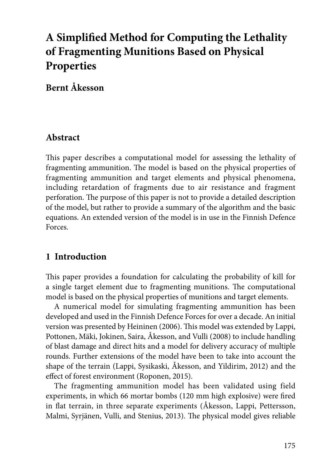# **A Simplified Method for Computing the Lethality of Fragmenting Munitions Based on Physical Properties**

# **Bernt Åkesson**

### **Abstract**

This paper describes a computational model for assessing the lethality of fragmenting ammunition. The model is based on the physical properties of fragmenting ammunition and target elements and physical phenomena, including retardation of fragments due to air resistance and fragment perforation. The purpose of this paper is not to provide a detailed description of the model, but rather to provide a summary of the algorithm and the basic equations. An extended version of the model is in use in the Finnish Defence Forces.

## **1 Introduction**

This paper provides a foundation for calculating the probability of kill for a single target element due to fragmenting munitions. The computational model is based on the physical properties of munitions and target elements.

A numerical model for simulating fragmenting ammunition has been developed and used in the Finnish Defence Forces for over a decade. An initial version was presented by Heininen (2006). This model was extended by Lappi, Pottonen, Mäki, Jokinen, Saira, Åkesson, and Vulli (2008) to include handling of blast damage and direct hits and a model for delivery accuracy of multiple rounds. Further extensions of the model have been to take into account the shape of the terrain (Lappi, Sysikaski, Åkesson, and Yildirim, 2012) and the effect of forest environment (Roponen, 2015).

The fragmenting ammunition model has been validated using field experiments, in which 66 mortar bombs (120 mm high explosive) were fired in flat terrain, in three separate experiments (Åkesson, Lappi, Pettersson, Malmi, Syrjänen, Vulli, and Stenius, 2013). The physical model gives reliable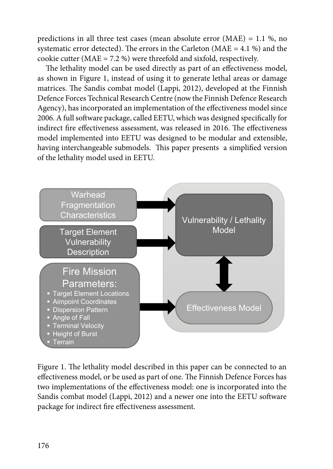predictions in all three test cases (mean absolute error (MAE) = 1.1 %, no systematic error detected). The errors in the Carleton ( $MAE = 4.1$ %) and the cookie cutter ( $MAE = 7.2$ %) were threefold and sixfold, respectively.

The lethality model can be used directly as part of an effectiveness model, as shown in Figure 1, instead of using it to generate lethal areas or damage matrices. The Sandis combat model (Lappi, 2012), developed at the Finnish Defence Forces Technical Research Centre (now the Finnish Defence Research Agency), has incorporated an implementation of the effectiveness model since 2006. A full software package, called EETU, which was designed specifically for indirect fire effectiveness assessment, was released in 2016. The effectiveness model implemented into EETU was designed to be modular and extensible, having interchangeable submodels. This paper presents a simplified version of the lethality model used in EETU.



Figure 1. The lethality model described in this paper can be connected to an effectiveness model, or be used as part of one. The Finnish Defence Forces has two implementations of the effectiveness model: one is incorporated into the Sandis combat model (Lappi, 2012) and a newer one into the EETU software package for indirect fire effectiveness assessment.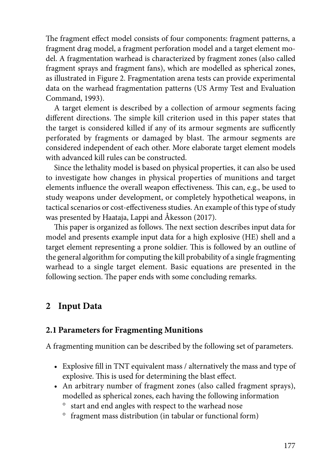The fragment effect model consists of four components: fragment patterns, a fragment drag model, a fragment perforation model and a target element model. A fragmentation warhead is characterized by fragment zones (also called fragment sprays and fragment fans), which are modelled as spherical zones, as illustrated in Figure 2. Fragmentation arena tests can provide experimental data on the warhead fragmentation patterns (US Army Test and Evaluation Command, 1993).

A target element is described by a collection of armour segments facing different directions. The simple kill criterion used in this paper states that the target is considered killed if any of its armour segments are sufficently perforated by fragments or damaged by blast. The armour segments are considered independent of each other. More elaborate target element models with advanced kill rules can be constructed.

Since the lethality model is based on physical properties, it can also be used to investigate how changes in physical properties of munitions and target elements influence the overall weapon effectiveness. This can, e.g., be used to study weapons under development, or completely hypothetical weapons, in tactical scenarios or cost-effectiveness studies. An example of this type of study was presented by Haataja, Lappi and Åkesson (2017).

This paper is organized as follows. The next section describes input data for model and presents example input data for a high explosive (HE) shell and a target element representing a prone soldier. This is followed by an outline of the general algorithm for computing the kill probability of a single fragmenting warhead to a single target element. Basic equations are presented in the following section. The paper ends with some concluding remarks.

# **2 Input Data**

#### **2.1 Parameters for Fragmenting Munitions**

A fragmenting munition can be described by the following set of parameters.

- Explosive fill in TNT equivalent mass / alternatively the mass and type of explosive. This is used for determining the blast effect.
- An arbitrary number of fragment zones (also called fragment sprays), modelled as spherical zones, each having the following information
	- ° start and end angles with respect to the warhead nose
	- ° fragment mass distribution (in tabular or functional form)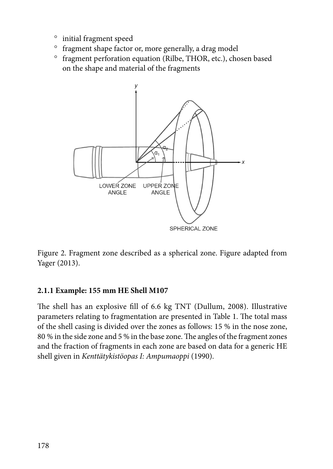- ° initial fragment speed
- ° fragment shape factor or, more generally, a drag model
- ° fragment perforation equation (Rilbe, THOR, etc.), chosen based on the shape and material of the fragments



Figure 2. Fragment zone described as a spherical zone. Figure adapted from Yager (2013).

#### **2.1.1 Example: 155 mm HE Shell M107**

The shell has an explosive fill of 6.6 kg TNT (Dullum, 2008). Illustrative parameters relating to fragmentation are presented in Table 1. The total mass of the shell casing is divided over the zones as follows: 15 % in the nose zone, 80 % in the side zone and 5 % in the base zone. The angles of the fragment zones and the fraction of fragments in each zone are based on data for a generic HE shell given in *Kenttätykistöopas I: Ampumaoppi* (1990).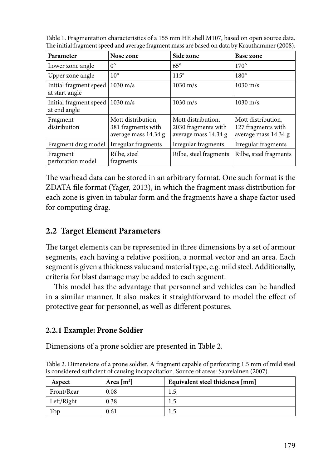| Table 1. Fragmentation characteristics of a 155 mm HE shell M107, based on open source data.  |  |
|-----------------------------------------------------------------------------------------------|--|
| The initial fragment speed and average fragment mass are based on data by Krauthammer (2008). |  |

| Parameter                                         | Nose zone                                                        | Side zone                                                         | Base zone                                                        |
|---------------------------------------------------|------------------------------------------------------------------|-------------------------------------------------------------------|------------------------------------------------------------------|
| Lower zone angle                                  | $0^{\circ}$                                                      | $65^\circ$                                                        | $170^\circ$                                                      |
| Upper zone angle                                  | $10^{\circ}$                                                     | $115^{\circ}$                                                     | $180^\circ$                                                      |
| Initial fragment speed<br>at start angle          | $1030 \text{ m/s}$                                               | $1030 \text{ m/s}$                                                | $1030 \text{ m/s}$                                               |
| Initial fragment speed   1030 m/s<br>at end angle |                                                                  | $1030 \text{ m/s}$                                                | $1030 \text{ m/s}$                                               |
| Fragment<br>distribution                          | Mott distribution,<br>381 fragments with<br>average mass 14.34 g | Mott distribution.<br>2030 fragments with<br>average mass 14.34 g | Mott distribution,<br>127 fragments with<br>average mass 14.34 g |
| Fragment drag model                               | Irregular fragments                                              | Irregular fragments                                               | Irregular fragments                                              |
| Fragment<br>perforation model                     | Rilbe, steel<br>fragments                                        | Rilbe, steel fragments                                            | Rilbe, steel fragments                                           |

The warhead data can be stored in an arbitrary format. One such format is the ZDATA file format (Yager, 2013), in which the fragment mass distribution for each zone is given in tabular form and the fragments have a shape factor used for computing drag.

## **2.2 Target Element Parameters**

The target elements can be represented in three dimensions by a set of armour segments, each having a relative position, a normal vector and an area. Each segment is given a thickness value and material type, e.g. mild steel. Additionally, criteria for blast damage may be added to each segment.

This model has the advantage that personnel and vehicles can be handled in a similar manner. It also makes it straightforward to model the effect of protective gear for personnel, as well as different postures.

#### **2.2.1 Example: Prone Soldier**

Dimensions of a prone soldier are presented in Table 2.

Table 2. Dimensions of a prone soldier. A fragment capable of perforating 1.5 mm of mild steel is considered sufficient of causing incapacitation. Source of areas: Saarelainen (2007).

| Aspect     | Area $[m^2]$ | Equivalent steel thickness [mm] |
|------------|--------------|---------------------------------|
| Front/Rear | 0.08         | 1.5                             |
| Left/Right | 0.38         | 1.5                             |
| Top        | 0.61         | 1.5                             |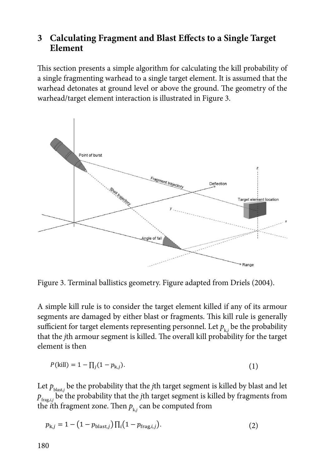# 3 Calculating Fragment and Blast Effects to a Single Target **Element**

This section presents a simple algorithm for calculating the kill probability of a single fragmenting warhead to a single target element. It is assumed that the warhead detonates at ground level or above the ground. The geometry of the warhead/target element interaction is illustrated in Figure 3.



Figure 3. Terminal ballistics geometry. Figure adapted from Driels (2004).

A simple kill rule is to consider the target element killed if any of its armour segments are damaged by either blast or fragments. This kill rule is generally sufficient for target elements representing personnel. Let  $p_{k,i}$  be the probability that the *j*th armour segment is killed. The overall kill probability for the target element is then

$$
P(kill) = 1 - \prod_{j} (1 - p_{k,j}).
$$
\n(1)

Let  $p_{\text{blast},j}$  be the probability that the *j*th target segment is killed by blast and let  $p_{\text{frag}, i,j}$  be the probability that the *j*th target segment is killed by fragments from the *i*th fragment zone. Then  $p_{\text{k},j}$ 

$$
p_{k,j} = 1 - (1 - p_{\text{blast},j}) \prod_{i} (1 - p_{\text{frag},i,j}). \tag{2}
$$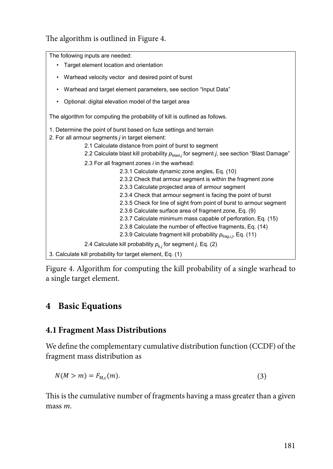The algorithm is outlined in Figure 4.

The following inputs are needed: The following inputs are needed: • Target element location and orientation • Target element location and orientation • Warhead velocity vector and desired point of burst • Warhead and target element parameters, see section "Input Data" • Warhead and target element parameters, see section "Input Data" • Optional: digital elevation model of the target area The algorithm for computing the probability of kill is outlined as follows. The algorithm for computing the probability of kill is outlined as follows. 1. Determine the point of burst based on fuze settings and terrain 2. For all armour segments *j* in target element: 2. For all armour segments *j* in target element:  $\frac{2.1 \text{ Calculate distance}}{2.1 \text{ Calculate distance from point of burst to segment}}$ 2.1 Calculate distance from point of burst to segment of burst to segment of burst to segment of burst to segment of  $2.2$  Calculate blast kill probability  $p = \frac{1}{2}$ 2.2 Calculate blast kill probability  $p_{\text{blast},j}$  for segment *j*, see section "Blast Damage"<br>2.2 Calculate blast kill probability  $p_{\text{blast},j}$  for segment *j*, see section "Blast Damage" 2.3.1 Schoolate dynamic 25he angles, Eq. (19)<br>2.3.2 Check that armour segment is within the fragment zone 2.3.2 Check that almoal segment is while the hage<br>2.3.3 Calculate projected area of armour segment 2.3.3 Check that armour segment is facing the point of burst 2.3.5 Check for line of sight from point of burst to armour segment 2.3.6 Calculate surface area of fragment zone, Eq. (9) 2.3.7 Calculate minimum mass capable of perforation, Eq. (15) 2.3.8 Calculate the number of effective fragments, Eq. (14) 2.3.9 Calculate fragment kill probability  $p_{\text{frag}, i,j}$ , Eq. (11)  $2.4$  Calculate till each chility  $f_{\text{max}}$  from  $\left($  Eq. (0) 2.4 Calculate kill probability  $p_{k,j}$  for segment *j*, Eq. (2) 3. Calculate kill probability for target element, Eq. (1) • Optional: digital elevation model of the target area 1. Determine the point of burst based on fuze settings and terrain 2.3 For all fragment zones *i* in the warhead: 2.3.1 Calculate dynamic zone angles, Eq. (10)

Figure 4. Algorithm for computing the kill probability of a single warhead to **Figure 4. Algorithm for computation**  $\mathbf{a}$  single target element.

# **4 Basic Equations**

#### **4.1 Fragment Mass Distributions Basic Equations**

We define the complementary cumulative distribution function (CCDF) of the fragment mass distribution as **Fragment Mass Distributions** 

$$
N(M > m) = F_{M,c}(m). \tag{3}
$$

This is the cumulative number of fragments having a mass greater than a given  $\max m$ . mass *m*.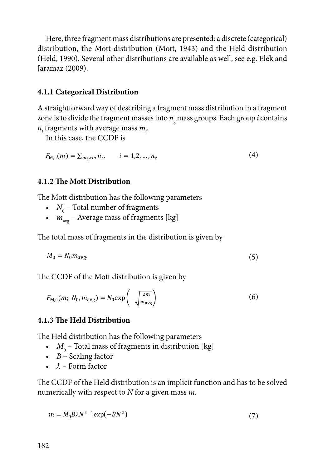Here, three fragment mass distributions are presented: a discrete (categorical) distribution, the Mott distribution (Mott, 1943) and the Held distribution (Held, 1990). Several other distributions are available as well, see e.g. Elek and Jaramaz (2009).

#### 4.1.1 Categorical Distribution

A straightforward way of describing a fragment mass distribution in a fragment zone is to divide the fragment masses into  $n_{\rm g}$  mass groups. Each group *i* contains  $n_i$  fragments with average mass  $m_i$ .

In this case, the CCDF is

$$
F_{M,c}(m) = \sum_{m_i > m} n_i, \qquad i = 1, 2, \dots, n_g \tag{4}
$$

#### 4.1.2 The Mott Distribution

The Mott distribution has the following parameters

- $N_0$  Total number of fragments
- $m_{\text{av}}$  Average mass of fragments [kg]

The total mass of fragments in the distribution is given by

$$
M_0 = N_0 m_{\text{avg}}.\tag{5}
$$

The CCDF of the Mott distribution is given by

$$
F_{\text{M,c}}(m; N_0, m_{\text{avg}}) = N_0 \exp\left(-\sqrt{\frac{2m}{m_{\text{avg}}}}\right) \tag{6}
$$

#### 4.1.3 The Held Distribution

The Held distribution has the following parameters

- $M_0$  Total mass of fragments in distribution [kg]
- $\bullet$  B Scaling factor
- $\lambda$  Form factor

The CCDF of the Held distribution is an implicit function and has to be solved numerically with respect to  $N$  for a given mass  $m$ .

$$
m = M_0 B \lambda N^{\lambda - 1} \exp(-B N^{\lambda})
$$
\n<sup>(7)</sup>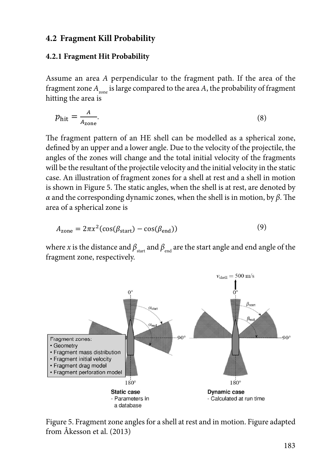#### **4.2 Fragment Kill Probability**

#### **4.2.1 Fragment Hit Probability Fragment Kill Probability Fragment Kill Probability**

Assume an area A perpendicular to the fragment path. If the area of the fragment zone  $A_{_{\rm zone}}$  is large compared to the area  $A$ , the probability of fragment hitting the area is **Assume an area A** perpendicular to the fragment path. If the area **A** perpendicular to the fragment  $\mu$ 

$$
p_{\text{hit}} = \frac{A}{A_{\text{zone}}}.\tag{8}
$$

The fragment pattern of an HE shell can be modelled as a spherical zone, defined by an upper and a lower angle. Due to the velocity of the projectile, the angles of the zones will change and the total initial velocity of the fragments will be the resultant of the projectile velocity and the initial velocity in the static case. An illustration of fragment zones for a shell at rest and a shell in motion is shown in Figure 5. The static angles, when the shell is at rest, are denoted by  $\alpha$  and the corresponding dynamic zones, when the shell is in motion, by  $\beta$ . The area of a spherical zone is **the shell is in motion, by** *β*. The area of a spherical zone is *β*. The area of a spherical zone is *β*. The area of a spherical zone is zone,

$$
A_{\text{zone}} = 2\pi x^2 (\cos(\beta_{\text{start}}) - \cos(\beta_{\text{end}}))
$$
\n(9)

where *x* is the distance and  $\beta_{\text{start}}$  and  $\beta_{\text{end}}$  are the start angle and end angle of the fragment zone, respectively. zone, respectively.



Figure 5. Fragment zone angles for a shell at rest and in motion. Figure adapted from Åkesson et al. (2013)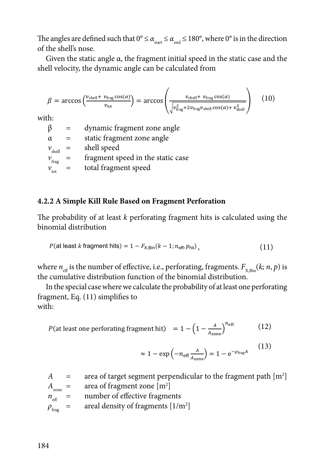The angles are defined such that  $0^{\circ} \leq \alpha_{\text{start}} \leq \alpha_{\text{end}} \leq 180^{\circ}$ , where  $0^{\circ}$  is in the direction of the shell's nose.

Given the static angle  $\alpha$ , the fragment initial speed in the static case and the shell velocity, the dynamic angle can be calculated from

$$
\beta = \arccos\left(\frac{v_{\text{shell}} + v_{\text{frag}}\cos(\alpha)}{v_{\text{tot}}}\right) = \arccos\left(\frac{v_{\text{shell}} + v_{\text{frag}}\cos(\alpha)}{\sqrt{v_{\text{frag}}^2 + 2v_{\text{frag}}v_{\text{shell}}\cos(\alpha) + v_{\text{shell}}^2}}\right) \quad (10)
$$

with:

dynamic fragment zone angle  $\beta$  $=$ static fragment zone angle  $\alpha$  $=$  $v_{\text{shell}}$  = shell speed fragment speed in the static case  $v_{\text{frag}}$  $=$  $v_{\text{tot}}$  $=$ total fragment speed

#### 4.2.2 A Simple Kill Rule Based on Fragment Perforation

The probability of at least k perforating fragment hits is calculated using the binomial distribution

$$
P(\text{at least } k \text{ fragment hits}) = 1 - F_{\text{X,Bin}}(k - 1; n_{\text{eff}}, p_{\text{hit}}),
$$
\n(11)

where  $n_{\text{eff}}$  is the number of effective, i.e., perforating, fragments.  $F_{\text{kin}}(k; n, p)$  is the cumulative distribution function of the binomial distribution.

In the special case where we calculate the probability of at least one perforating fragment, Eq.  $(11)$  simplifies to with ·

$$
P(\text{at least one performing fragment hit}) = 1 - \left(1 - \frac{A}{A_{\text{zone}}}\right)^{n_{\text{eff}}} \tag{12}
$$

$$
\approx 1 - \exp\left(-n_{\text{eff}}\frac{A}{A_{\text{zone}}}\right) = 1 - e^{-\rho_{\text{frag}}A} \tag{13}
$$

area of target segment perpendicular to the fragment path  $[m^2]$  $\overline{A}$  $=$  $A_{\text{zone}} =$ area of fragment zone  $[m^2]$  $n_{\text{eff}}$ number of effective fragments  $\equiv$ areal density of fragments  $[1/m^2]$  $\equiv$  $\rho_{\text{frag}}$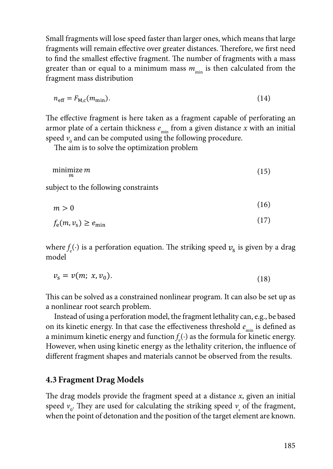Small fragments will lose speed faster than larger ones, which means that large fragments will remain effective over greater distances. Therefore, we first need to find the smallest effective fragment. The number of fragments with a mass greater than or equal to a minimum mass  $m_{\text{min}}$  is then calculated from the fragment mass distribution a mass mass *manufacture than* or equal to a mass *manufacture* to a minimum mass **manufacture** to a minimum mass **manufacture** to a minimum mass **manufacture** to a minimum mass **manufacture** to  $\ddot{o}$ 

$$
n_{\rm eff} = F_{\rm M,c}(m_{\rm min}).\tag{14}
$$

The effective fragment is here taken as a fragment capable of perforating an armor plate of a certain thickness  $e_{\min}$  from a given distance  $x$  with an initial speed  $v_{_0}$  and can be computed using the following procedure. ine enective *i*nginent is nere taken as a maginem capable of periorating an

The aim is to solve the optimization problem The aim is to solve the optimization problem

$$
\begin{array}{ll}\n\text{minimize } m\\
m\end{array} \tag{15}
$$

subject to the following constraints subject to the following constraints  $s_{\rm t}$  to the following constraints constraints constraints constraints on  $\mathcal{S}$  $\phi$  following constraints

 $m > 0$  (16)  $\ddot{\theta}$  (16)  $\mathbf{m} \geq 0$  $\mathfrak{m} > 0 \tag{16}$  $m > 0$  (10)

$$
f_{\rm e}(m, v_{\rm s}) \ge e_{\rm min} \tag{17}
$$

where  $f_{\rm e}(\cdot)$  is a perforation equation. The striking speed  $\boldsymbol{\nu}_{\rm s}$  is given by a drag model model **f**ectors *f f f f f f f s f striking speed <b><i>f f f f f f f f f f f f <i>f <i>f <i>f <i>f <i>f <i>f <i>f <i>f*  $\bf{model}$ where *f*e(·) is a perforation equation. The striking speed �� is given by a drag model where  $f_e(\cdot)$  is a perforation equation. The striking speed  $v_s$  is given by a drag model

$$
v_{\rm s} = v(m; \ x, v_0). \tag{18}
$$

This can be solved as a constrained non-linear program. It can also be set up as a nonlinear root  $\mathbf{r}_i = \mathbf{1} \cdot \mathbf{1}$ search problem. This can be solved as a constrained nonlinear program. It can also be set up as a nonlinear root search problem. This can be solved as a constrained nonlinear program. It can also be set up as the effective energy as the effective energy and  $\mu$ Instead of using a perforation model, the fragment lethality can, e.g., be based on its kinetic search problem.

Instead of using a perforation model, the fragment lethality can, e.g., be based on its kinetic energy. In that case the effectiveness threshold  $e_{\text{min}}$  is defined as a minimum kinetic energy and function  $f_e(\cdot)$  as the formula for kinetic energy. However, when using kinetic energy as the lethality criterion, the influence of different fragment shapes and materials cannot be observed from the results.

#### 4.3 Fragment Drag Models  $\mathcal{L}$  the target element are presented here. The first one presented here. The first one presented here. The first one presented here. The first one presented here. The first one presented here. The first one presented used for calculating the striking speed *v*s of the fragment, when the point of detonation and the

speed  $v_0$ . They are used for calculating the striking speed  $v_s$  of the fragment, when the point of detonation and the position of the target element are known. The drag models provide the fragment speed at a distance  $x$ , given an initial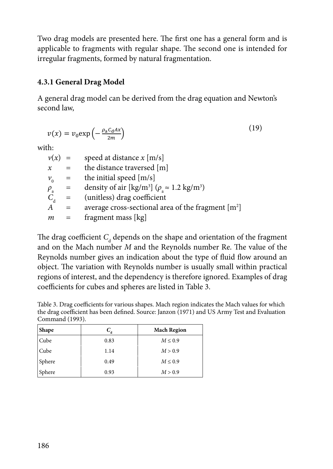Two drag models are presented here. The first one has a general form and is applicable to fragments with regular shape. The second one is intended for applicable to fragments with regular shape. The second one is intended for irregular fragments, formed by natural fragmentation. intended for irregular fragments, formed by natural fragmentation. product are presented here. The mot one has a general form and is

#### **4.3.1 General Drag Model**

A general drag model can be derived from the drag equation and Newton's second law,

$$
v(x) = v_0 \exp\left(-\frac{\rho_a c_d A x}{2m}\right) \tag{19}
$$

with:

| $v(x) =$       |              | speed at distance $x$ [m/s]                                                  |
|----------------|--------------|------------------------------------------------------------------------------|
| $\chi$         | $=$          | the distance traversed [m]                                                   |
| $v_0$ =        |              | the initial speed [m/s]                                                      |
| $P_{\rm a}$    |              | density of air [kg/m <sup>3</sup> ] ( $\rho \approx 1.2$ kg/m <sup>3</sup> ) |
| $C_{\rm a}$    |              | $=$ (unitless) drag coefficient                                              |
| $\overline{A}$ | $\alpha = 1$ | average cross-sectional area of the fragment $[m^2]$                         |
| $m =$          |              | fragment mass [kg]                                                           |

The drag coefficient  $C_d$  depends on the shape and orientation of the fragment and on the Mach number *M* and the Reynolds number Re. The value of the rangement Reynolds number gives an indication about the type of fluid flow around an object. The variation with Reynolds number is usually small within practical regions of interest, and the dependency is therefore ignored. Examples of drag coefficients for cubes and spheres are listed in Table 3.

Table 3. Drag coefficients for various shapes. Mach region indicates the Mach values for which the drag coefficient has been defined. Source: Janzon (1971) and US Army Test and Evaluation Command (1993).

| <b>Shape</b>  | $C_{\scriptscriptstyle A}$ | <b>Mach Region</b> |
|---------------|----------------------------|--------------------|
| Cube          | 0.83                       | $M \leq 0.9$       |
| Cube          | 1.14                       | M > 0.9            |
| <b>Sphere</b> | 0.49                       | $M \leq 0.9$       |
| <b>Sphere</b> | 0.93                       | M > 0.9            |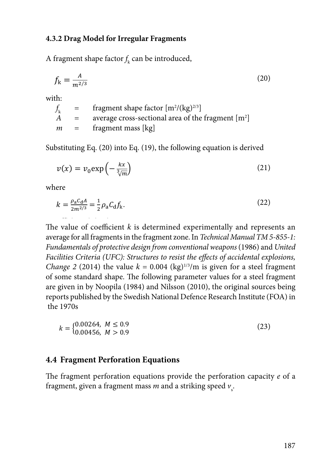#### **4.3.2 Drag Model for Irregular Fragments Drag Model for Irregular Fragments Drag Model for Irregular Fragments Drag Model for Irregular Fragments**  *A* 3 2 Drag Model for Irreg Cube 0.83 *M* ≤ 0.9

A fragment shape factor  $f_k$  can be introduced, A fragment shape factor  $f_k$  can be internal can be internal  $f_k$  $\Lambda$  from out shape for Sphere 0.49 *M* ≤ 0.9

$$
f_{\mathbf{k}} = \frac{A}{m^{2/3}}\tag{20}
$$

with: with:

$$
f_k = \text{fragment shape factor } [m^2/(kg)^{2/3}]
$$
  
A = average cross-sectional area of the fragment [m<sup>2</sup>]  
m = fragment mass [kg]

Substituting Eq. (20) into Eq. (19), the following equation is derived Substituting Eq. (20) into Eq. (19), the following equation is derived Substituting Eq. (20) into Eq. (19), the following equation is derived ���� (20)

$$
v(x) = v_0 \exp\left(-\frac{kx}{\sqrt[3]{m}}\right)
$$
 (21)

where

$$
k = \frac{\rho_a c_d A}{2m^{2/3}} = \frac{1}{2} \rho_a C_d f_k.
$$
 (22)

The value of coefficient  $k$  is determined experimentally and represents an and the value of coefficient was determined experimentally and represents and are approximately average for an riagnems in the riagnem zone. In Technical Manual TIM 5 655 1.<br>Fundamentals of protective design from conventional weapons (1986) and United Facilities Criteria (UFC): Structures to resist the effects of accidental explosions, *Change 2* (2014) the value  $k = 0.004$  (kg)<sup>1/3</sup>/m is given for a steel fragment of some standard shape. The following parameter values for a steel fragment are given in by Noopila (1984) and Nilsson (2010), the original sources being reports published by the Swedish National Defence Research Institute (FOA) in<br>the 1970s the 1970s Fundamentals of protective design from conventional weapons (1986) and United<br>Facilities Collectic (UEC), Standard and the distributed and the distributed and the distributed and the state  $\frac{1}{2}$  fragments in the fragment  $\kappa$  is determined experimentally and represents an *design from conventional weapons* (1986) and *United Facilities Criteria (UFC): Structures to*  are given in by Noopiia (1984) and Niisson (2010), the original sources being<br>reports published by the Swedish National Defence Research Institute (FOA) in  $\overline{y}$  (21)  $\overline{y}$  (21)  $\overline{y}$  (21)  $\overline{y}$  (21)  $\overline{y}$  (21)  $\overline{y}$  (21)  $\overline{y}$ *design from conventional weapons* (1986) and *United Facilities Criteria (UFC): Structures to*   $\frac{1}{2}$  the 1970s  $\frac{m}{2}$  and  $\frac{m}{2}$  in the 1970s in the 1970s in the 1970s in the 1970s in the 1970s in the 1970s in the 1970s in the 1970s in the 1970s in the 1970s in the 1970s in the 1970s in the 1970s in the 1970s in the 1970s in

$$
k = \begin{cases} 0.00264, & M \le 0.9 \\ 0.00456, & M > 0.9 \end{cases} \tag{23}
$$

#### **4.4 Fragment Perforation Equations**

The fragment perforation equations provide the perforation capacity *e* of a fragment, given a fragment mass  $m$  and a striking speed  $v_{\scriptscriptstyle\rm s}^{\phantom i}$ .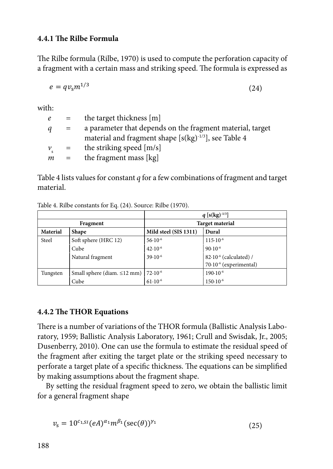# **4.4.1 The Rilbe Formula The Rilbe Formula**

The Rilbe formula (Rilbe, 1970) is used to compute the perforation capacity of a fragment with a certain mass and striking speed. The formula is expressed as

$$
e = qv_s m^{1/3} \tag{24}
$$

with:

|  | $e$ = the target thickness [m]                             |
|--|------------------------------------------------------------|
|  | a parameter that depends on the fragment material, target  |
|  | material and fragment shape $[s(kg)^{-1/3}]$ , see Table 4 |
|  | $v_{\rm s}$ = the striking speed [m/s]                     |
|  | $m =$ the fragment mass [kg]                               |
|  | $q =$                                                      |

Table 4 lists values for constant  $q$  for a few combinations of fragment and target material.

Table 4. Rilbe constants for Eq. (24). Source: Rilbe (1970).

|                          |                                   |                        | $q$ [s(kg) <sup>-1/3</sup> ]       |  |
|--------------------------|-----------------------------------|------------------------|------------------------------------|--|
|                          | Fragment                          | <b>Target material</b> |                                    |  |
| Material<br><b>Shape</b> |                                   | Mild steel (SIS 1311)  | Dural                              |  |
| Steel                    | Soft sphere (HRC 12)              | $56 \cdot 10^{-6}$     | $115 \cdot 10^{-6}$                |  |
|                          | Cube                              | $42.10^{-6}$           | $90.10^{-6}$                       |  |
|                          | Natural fragment                  | $39.10^{-6}$           | 82.10 <sup>-6</sup> (calculated) / |  |
|                          |                                   |                        | 70.10 <sup>-6</sup> (experimental) |  |
| Tungsten                 | Small sphere (diam. $\leq$ 12 mm) | $72.10^{-6}$           | $190 \cdot 10^{-6}$                |  |
|                          | Cube                              | $61 \cdot 10^{-6}$     | $150 \cdot 10^{-6}$                |  |

#### **4.4.2 The THOR Equations The THOR Equations**

There is a number of variations of the THOR formula (Ballistic Analysis Laboratory, 1959; Ballistic Analysis Laboratory, 1961; Crull and Swisdak, Jr., 2005; Dusenberry, 2010). One can use the formula to estimate the residual speed of the fragment after exiting the target plate or the striking speed necessary to perforate a target plate of a specific thickness. The equations can be simplified by making assumptions about the fragment shape.

By setting the residual fragment speed to zero, we obtain the ballistic limit for a general fragment shape the residual for a general fragment shape

$$
v_{s} = 10^{c_{1,SI}} (eA)^{\alpha_{1}} m^{\beta_{1}} (\sec(\theta))^{y_{1}} \tag{25}
$$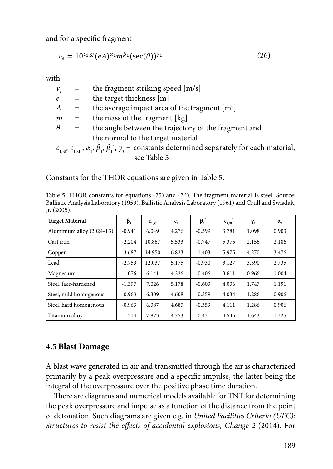and for a specific fragment

$$
v_{s} = 10^{c_{1,SI}} (eA)^{\alpha_{1}} m^{\beta_{1}} (\sec(\theta))^{y_{1}} \tag{26}
$$

with:

|          |       | $=$ the fragment striking speed [m/s]                                                                                          |
|----------|-------|--------------------------------------------------------------------------------------------------------------------------------|
|          | $e =$ | the target thickness [m]                                                                                                       |
|          |       | $A =$ the average impact area of the fragment [m <sup>2</sup> ]                                                                |
|          |       | $m =$ the mass of the fragment [kg]                                                                                            |
| $\theta$ |       | $=$ the angle between the trajectory of the fragment and                                                                       |
|          |       | the normal to the target material                                                                                              |
|          |       | $c_{1,st}$ , $c_{1,st}$ , $\alpha_i$ , $\beta_i$ , $\beta_i$ , $\gamma_i$ = constants determined separately for each material, |
|          |       | see Table 5                                                                                                                    |

Constants for the THOR equations are given in Table 5.

Table 5. THOR constants for equations (25) and (26). The fragment material is steel. Source: Ballistic Analysis Laboratory (1959), Ballistic Analysis Laboratory (1961) and Crull and Swisdak,<br>In (2005) Jr. (2005).

| <b>Target Material</b>    | $\beta_{1}$ | $c_{1,SI}$ | $c_{1}$ | $\beta_i^*$ | $c_{1,SI}$ | $\gamma_{1}$ | $a_{1}$ |
|---------------------------|-------------|------------|---------|-------------|------------|--------------|---------|
| Aluminium alloy (2024-T3) | $-0.941$    | 6.049      | 4.276   | $-0.399$    | 3.781      | 1.098        | 0.903   |
| Cast iron                 | $-2.204$    | 10.867     | 5.533   | $-0.747$    | 5.375      | 2.156        | 2.186   |
| Copper                    | $-3.687$    | 14.950     | 6.823   | $-1.403$    | 5.975      | 4.270        | 3.476   |
| Lead                      | $-2.753$    | 12.037     | 5.175   | $-0.930$    | 3.127      | 3.590        | 2.735   |
| Magnesium                 | $-1.076$    | 6.141      | 4.226   | $-0.406$    | 3.611      | 0.966        | 1.004   |
| Steel, face-hardened      | $-1.397$    | 7.026      | 5.178   | $-0.603$    | 4.036      | 1.747        | 1.191   |
| Steel, mild homogenous    | $-0.963$    | 6.309      | 4.608   | $-0.359$    | 4.034      | 1.286        | 0.906   |
| Steel, hard homogenous    | $-0.963$    | 6.387      | 4.685   | $-0.359$    | 4.111      | 1.286        | 0.906   |
| Titanium alloy            | $-1.314$    | 7.873      | 4.753   | $-0.431$    | 4.545      | 1.643        | 1.325   |

# **4.5** Blast Damage

A blast wave generated in air and transmitted through the air is characterized **Blast Damage**  primarily by a peak overpressure and a specific impulse, the latter being the integral of the overpressure over the positive phase time duration.

There are diagrams and numerical models available for TNT for determining the peak overpressure and impulse as a function of the distance from the point of detonation. Such diagrams are given e.g. in *United Facilities Criteria (UFC): Structures to resist the effects of accidental explosions, Change 2 (2014). For*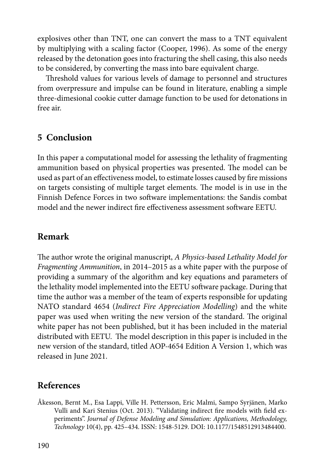explosives other than TNT, one can convert the mass to a TNT equivalent by multiplying with a scaling factor (Cooper, 1996). As some of the energy released by the detonation goes into fracturing the shell casing, this also needs to be considered, by converting the mass into bare equivalent charge.

Threshold values for various levels of damage to personnel and structures from overpressure and impulse can be found in literature, enabling a simple three-dimesional cookie cutter damage function to be used for detonations in free air.

## **5 Conclusion**

In this paper a computational model for assessing the lethality of fragmenting ammunition based on physical properties was presented. The model can be used as part of an effectiveness model, to estimate losses caused by fire missions on targets consisting of multiple target elements. The model is in use in the Finnish Defence Forces in two software implementations: the Sandis combat model and the newer indirect fire effectiveness assessment software EETU.

### **Remark**

The author wrote the original manuscript, *A Physics-based Lethality Model for Fragmenting Ammunition*, in 2014–2015 as a white paper with the purpose of providing a summary of the algorithm and key equations and parameters of the lethality model implemented into the EETU software package. During that time the author was a member of the team of experts responsible for updating NATO standard 4654 (*Indirect Fire Appreciation Modelling*) and the white paper was used when writing the new version of the standard. The original white paper has not been published, but it has been included in the material distributed with EETU. The model description in this paper is included in the new version of the standard, titled AOP-4654 Edition A Version 1, which was released in June 2021.

### **References**

Åkesson, Bernt M., Esa Lappi, Ville H. Pettersson, Eric Malmi, Sampo Syrjänen, Marko Vulli and Kari Stenius (Oct. 2013). "Validating indirect fire models with field experiments". *Journal of Defense Modeling and Simulation: Applications, Methodology, Technology* 10(4), pp. 425–434. ISSN: 1548-5129. DOI: 10.1177/1548512913484400.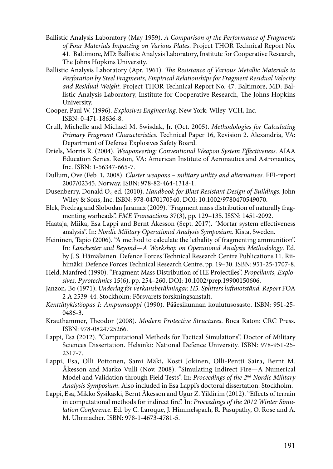- Ballistic Analysis Laboratory (May 1959). *A Comparison of the Performance of Fragments of Four Materials Impacting on Various Plates*. Project THOR Technical Report No. 41. Baltimore, MD: Ballistic Analysis Laboratory, Institute for Cooperative Research, The Johns Hopkins University.
- Ballistic Analysis Laboratory (Apr. 1961). *The Resistance of Various Metallic Materials to Perforation by Steel Fragments, Empirical Relationships for Fragment Residual Velocity and Residual Weight*. Project THOR Technical Report No. 47. Baltimore, MD: Ballistic Analysis Laboratory, Institute for Cooperative Research, The Johns Hopkins University.
- Cooper, Paul W. (1996). *Explosives Engineering*. New York: Wiley-VCH, Inc. ISBN: 0-471-18636-8.
- Crull, Michelle and Michael M. Swisdak, Jr. (Oct. 2005). *Methodologies for Calculating Primary Fragment Characteristics*. Technical Paper 16, Revision 2. Alexandria, VA: Department of Defense Explosives Safety Board.
- Driels, Morris R. (2004). *Weaponeering: Conventional Weapon System Effectiveness*. AIAA Education Series. Reston, VA: American Institute of Aeronautics and Astronautics, Inc. ISBN: 1-56347-665-7.
- Dullum, Ove (Feb. 1, 2008). *Cluster weapons military utility and alternatives*. FFI-report 2007/02345. Norway. ISBN: 978-82-464-1318-1.
- Dusenberry, Donald O., ed. (2010). *Handbook for Blast Resistant Design of Buildings*. John Wiley & Sons, Inc. ISBN: 978-0470170540. DOI: 10.1002/9780470549070.
- Elek, Predrag and Slobodan Jaramaz (2009). "Fragment mass distribution of naturally fragmenting warheads". *FME Transactions* 37(3), pp. 129–135. ISSN: 1451-2092.
- Haataja, Miika, Esa Lappi and Bernt Åkesson (Sept. 2017). "Mortar system effectiveness analysis". In: *Nordic Military Operational Analysis Symposium*. Kista, Sweden.
- Heininen, Tapio (2006). "A method to calculate the lethality of fragmenting ammunition". In: *Lanchester and Beyond—A Workshop on Operational Analysis Methodology*. Ed. by J. S. Hämäläinen. Defence Forces Technical Research Centre Publications 11. Riihimäki: Defence Forces Technical Research Centre, pp. 19–30. ISBN: 951-25-1707-8.
- Held, Manfred (1990). "Fragment Mass Distribution of HE Projectiles". *Propellants, Explosives, Pyrotechnics* 15(6), pp. 254–260. DOI: 10.1002/prep.19900150606.
- Janzon, Bo (1971). *Underlag för verkansberäkningar. H5. Splitters luftmotstånd. Report FOA* 2 A 2539-44. Stockholm: Försvarets forskningsanstalt.
- *Kenttätykistöopas I: Ampumaoppi* (1990). Pääesikunnan koulutusosasto. ISBN: 951-25- 0486-3.
- Krauthammer, Theodor (2008). *Modern Protective Structures*. Boca Raton: CRC Press. ISBN: 978-0824725266.
- Lappi, Esa (2012). "Computational Methods for Tactical Simulations". Doctor of Military Sciences Dissertation. Helsinki: National Defence University. ISBN: 978-951-25- 2317-7.
- Lappi, Esa, Olli Pottonen, Sami Mäki, Kosti Jokinen, Olli-Pentti Saira, Bernt M. Åkesson and Marko Vulli (Nov. 2008). "Simulating Indirect Fire—A Numerical Model and Validation through Field Tests". In: *Proceedings of the 2nd Nordic Military Analysis Symposium*. Also included in Esa Lappi's doctoral dissertation. Stockholm.
- Lappi, Esa, Mikko Sysikaski, Bernt Åkesson and Ugur Z. Yildirim (2012). "Effects of terrain in computational methods for indirect fire". In: *Proceedings of the 2012 Winter Simulation Conference*. Ed. by C. Laroque, J. Himmelspach, R. Pasupathy, O. Rose and A. M. Uhrmacher. ISBN: 978-1-4673-4781-5.